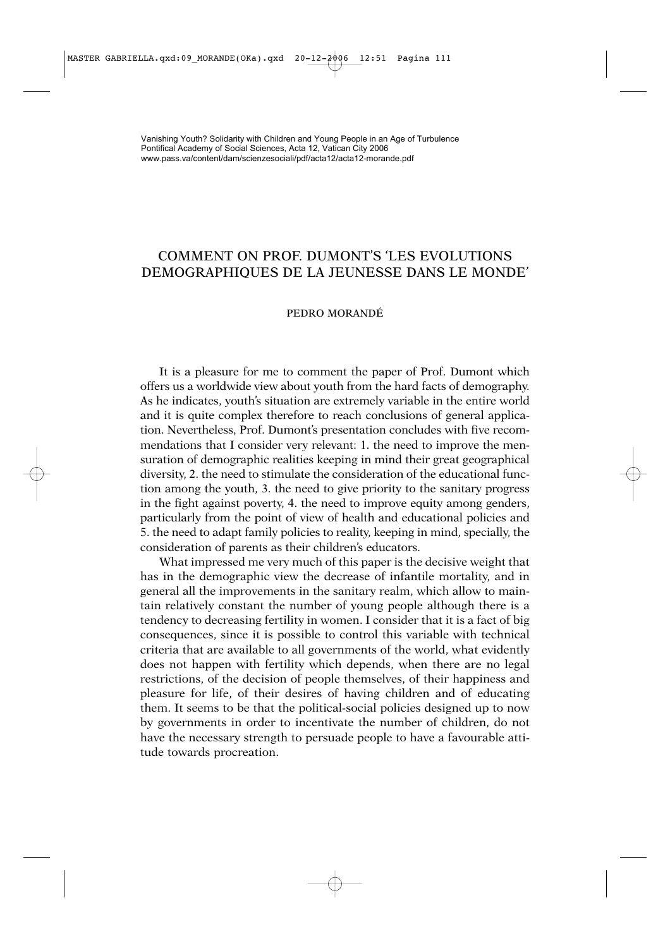## COMMENT ON PROF. DUMONT'S 'LES EVOLUTIONS DEMOGRAPHIQUES DE LA JEUNESSE DANS LE MONDE'

## PEDRO MORANDÉ

It is a pleasure for me to comment the paper of Prof. Dumont which offers us a worldwide view about youth from the hard facts of demography. As he indicates, youth's situation are extremely variable in the entire world and it is quite complex therefore to reach conclusions of general application. Nevertheless, Prof. Dumont's presentation concludes with five recommendations that I consider very relevant: 1. the need to improve the mensuration of demographic realities keeping in mind their great geographical diversity, 2. the need to stimulate the consideration of the educational function among the youth, 3. the need to give priority to the sanitary progress in the fight against poverty, 4. the need to improve equity among genders, particularly from the point of view of health and educational policies and 5. the need to adapt family policies to reality, keeping in mind, specially, the consideration of parents as their children's educators.

What impressed me very much of this paper is the decisive weight that has in the demographic view the decrease of infantile mortality, and in general all the improvements in the sanitary realm, which allow to maintain relatively constant the number of young people although there is a tendency to decreasing fertility in women. I consider that it is a fact of big consequences, since it is possible to control this variable with technical criteria that are available to all governments of the world, what evidently does not happen with fertility which depends, when there are no legal restrictions, of the decision of people themselves, of their happiness and pleasure for life, of their desires of having children and of educating them. It seems to be that the political-social policies designed up to now by governments in order to incentivate the number of children, do not have the necessary strength to persuade people to have a favourable attitude towards procreation.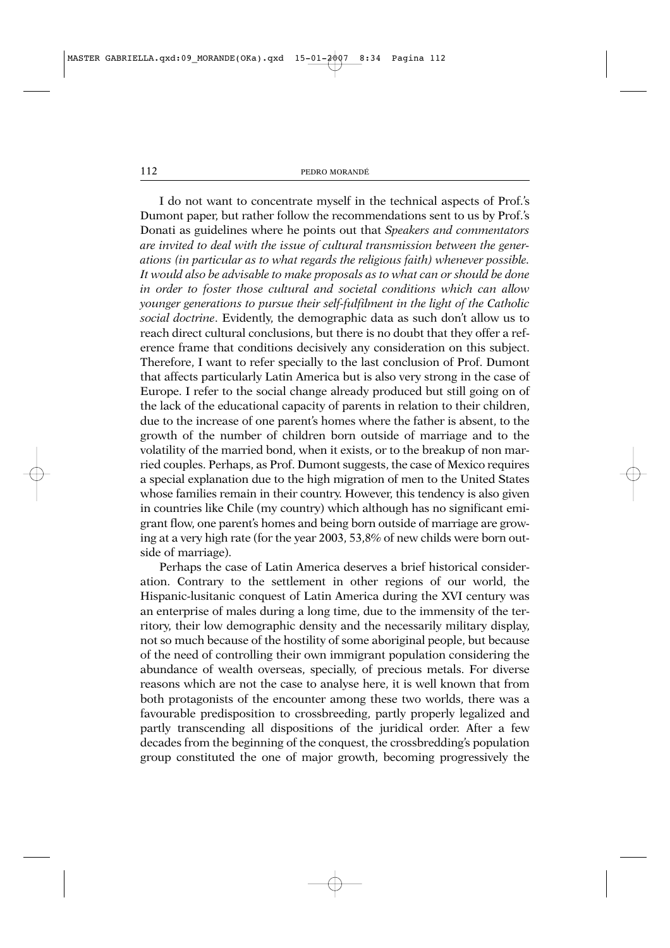I do not want to concentrate myself in the technical aspects of Prof.'s Dumont paper, but rather follow the recommendations sent to us by Prof.'s Donati as guidelines where he points out that *Speakers and commentators are invited to deal with the issue of cultural transmission between the generations (in particular as to what regards the religious faith) whenever possible. It would also be advisable to make proposals as to what can or should be done in order to foster those cultural and societal conditions which can allow younger generations to pursue their self-fulfilment in the light of the Catholic social doctrine*. Evidently, the demographic data as such don't allow us to reach direct cultural conclusions, but there is no doubt that they offer a reference frame that conditions decisively any consideration on this subject. Therefore, I want to refer specially to the last conclusion of Prof. Dumont that affects particularly Latin America but is also very strong in the case of Europe. I refer to the social change already produced but still going on of the lack of the educational capacity of parents in relation to their children, due to the increase of one parent's homes where the father is absent, to the growth of the number of children born outside of marriage and to the volatility of the married bond, when it exists, or to the breakup of non married couples. Perhaps, as Prof. Dumont suggests, the case of Mexico requires a special explanation due to the high migration of men to the United States whose families remain in their country. However, this tendency is also given in countries like Chile (my country) which although has no significant emigrant flow, one parent's homes and being born outside of marriage are growing at a very high rate (for the year 2003, 53,8% of new childs were born outside of marriage).

Perhaps the case of Latin America deserves a brief historical consideration. Contrary to the settlement in other regions of our world, the Hispanic-lusitanic conquest of Latin America during the XVI century was an enterprise of males during a long time, due to the immensity of the territory, their low demographic density and the necessarily military display, not so much because of the hostility of some aboriginal people, but because of the need of controlling their own immigrant population considering the abundance of wealth overseas, specially, of precious metals. For diverse reasons which are not the case to analyse here, it is well known that from both protagonists of the encounter among these two worlds, there was a favourable predisposition to crossbreeding, partly properly legalized and partly transcending all dispositions of the juridical order. After a few decades from the beginning of the conquest, the crossbredding's population group constituted the one of major growth, becoming progressively the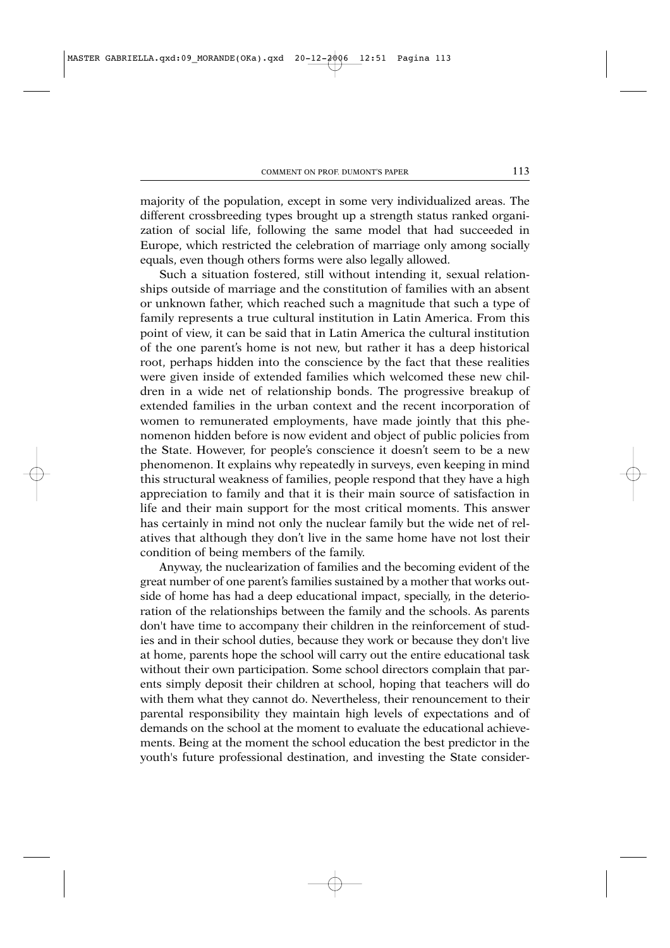majority of the population, except in some very individualized areas. The different crossbreeding types brought up a strength status ranked organization of social life, following the same model that had succeeded in Europe, which restricted the celebration of marriage only among socially equals, even though others forms were also legally allowed.

Such a situation fostered, still without intending it, sexual relationships outside of marriage and the constitution of families with an absent or unknown father, which reached such a magnitude that such a type of family represents a true cultural institution in Latin America. From this point of view, it can be said that in Latin America the cultural institution of the one parent's home is not new, but rather it has a deep historical root, perhaps hidden into the conscience by the fact that these realities were given inside of extended families which welcomed these new children in a wide net of relationship bonds. The progressive breakup of extended families in the urban context and the recent incorporation of women to remunerated employments, have made jointly that this phenomenon hidden before is now evident and object of public policies from the State. However, for people's conscience it doesn't seem to be a new phenomenon. It explains why repeatedly in surveys, even keeping in mind this structural weakness of families, people respond that they have a high appreciation to family and that it is their main source of satisfaction in life and their main support for the most critical moments. This answer has certainly in mind not only the nuclear family but the wide net of relatives that although they don't live in the same home have not lost their condition of being members of the family.

Anyway, the nuclearization of families and the becoming evident of the great number of one parent's families sustained by a mother that works outside of home has had a deep educational impact, specially, in the deterioration of the relationships between the family and the schools. As parents don't have time to accompany their children in the reinforcement of studies and in their school duties, because they work or because they don't live at home, parents hope the school will carry out the entire educational task without their own participation. Some school directors complain that parents simply deposit their children at school, hoping that teachers will do with them what they cannot do. Nevertheless, their renouncement to their parental responsibility they maintain high levels of expectations and of demands on the school at the moment to evaluate the educational achievements. Being at the moment the school education the best predictor in the youth's future professional destination, and investing the State consider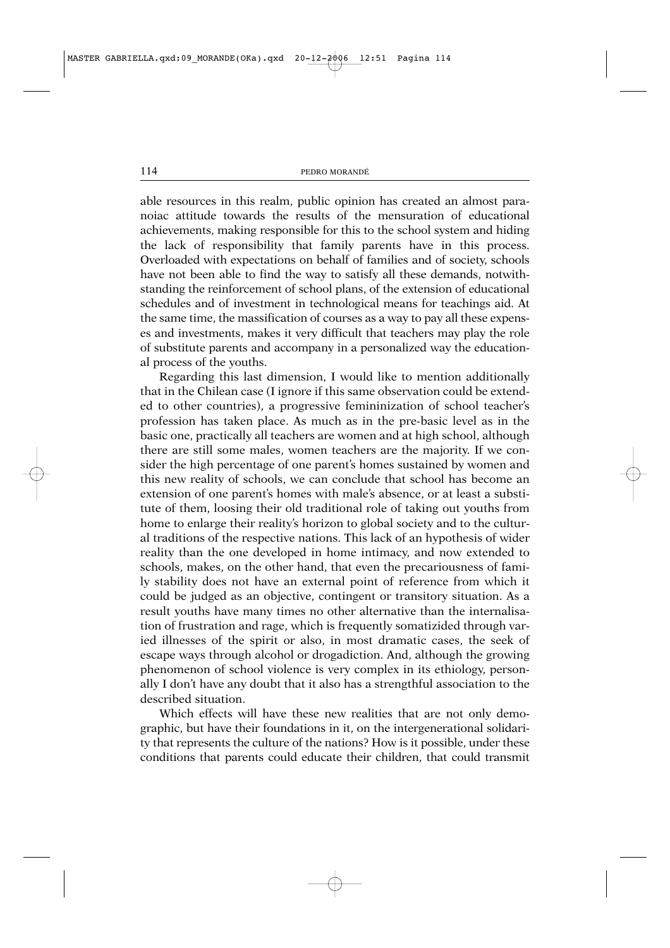able resources in this realm, public opinion has created an almost paranoiac attitude towards the results of the mensuration of educational achievements, making responsible for this to the school system and hiding the lack of responsibility that family parents have in this process. Overloaded with expectations on behalf of families and of society, schools have not been able to find the way to satisfy all these demands, notwithstanding the reinforcement of school plans, of the extension of educational schedules and of investment in technological means for teachings aid. At the same time, the massification of courses as a way to pay all these expenses and investments, makes it very difficult that teachers may play the role of substitute parents and accompany in a personalized way the educational process of the youths.

Regarding this last dimension, I would like to mention additionally that in the Chilean case (I ignore if this same observation could be extended to other countries), a progressive femininization of school teacher's profession has taken place. As much as in the pre-basic level as in the basic one, practically all teachers are women and at high school, although there are still some males, women teachers are the majority. If we consider the high percentage of one parent's homes sustained by women and this new reality of schools, we can conclude that school has become an extension of one parent's homes with male's absence, or at least a substitute of them, loosing their old traditional role of taking out youths from home to enlarge their reality's horizon to global society and to the cultural traditions of the respective nations. This lack of an hypothesis of wider reality than the one developed in home intimacy, and now extended to schools, makes, on the other hand, that even the precariousness of family stability does not have an external point of reference from which it could be judged as an objective, contingent or transitory situation. As a result youths have many times no other alternative than the internalisation of frustration and rage, which is frequently somatizided through varied illnesses of the spirit or also, in most dramatic cases, the seek of escape ways through alcohol or drogadiction. And, although the growing phenomenon of school violence is very complex in its ethiology, personally I don't have any doubt that it also has a strengthful association to the described situation.

Which effects will have these new realities that are not only demographic, but have their foundations in it, on the intergenerational solidarity that represents the culture of the nations? How is it possible, under these conditions that parents could educate their children, that could transmit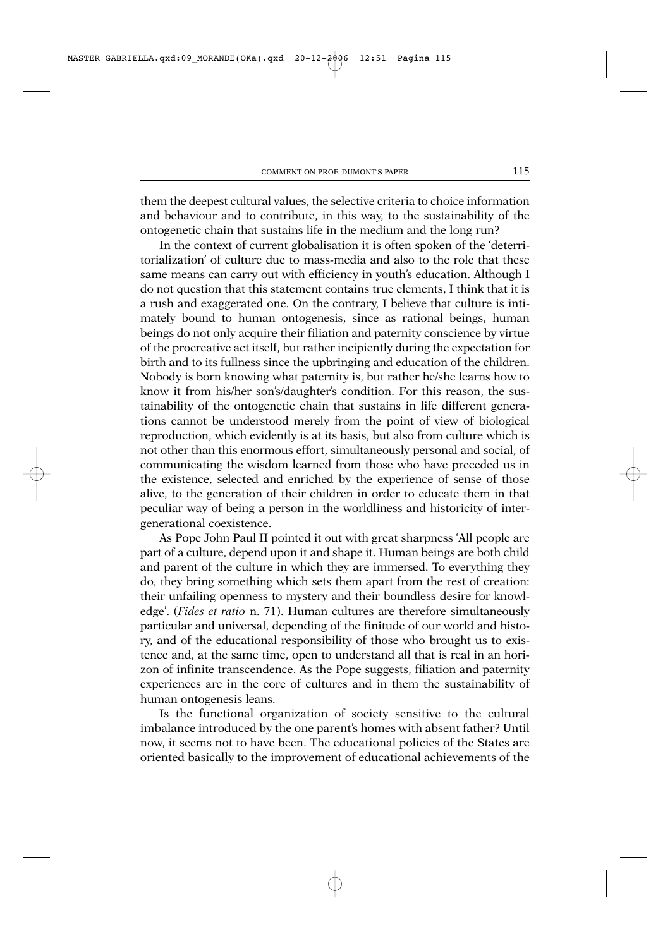them the deepest cultural values, the selective criteria to choice information and behaviour and to contribute, in this way, to the sustainability of the ontogenetic chain that sustains life in the medium and the long run?

In the context of current globalisation it is often spoken of the 'deterritorialization' of culture due to mass-media and also to the role that these same means can carry out with efficiency in youth's education. Although I do not question that this statement contains true elements, I think that it is a rush and exaggerated one. On the contrary, I believe that culture is intimately bound to human ontogenesis, since as rational beings, human beings do not only acquire their filiation and paternity conscience by virtue of the procreative act itself, but rather incipiently during the expectation for birth and to its fullness since the upbringing and education of the children. Nobody is born knowing what paternity is, but rather he/she learns how to know it from his/her son's/daughter's condition. For this reason, the sustainability of the ontogenetic chain that sustains in life different generations cannot be understood merely from the point of view of biological reproduction, which evidently is at its basis, but also from culture which is not other than this enormous effort, simultaneously personal and social, of communicating the wisdom learned from those who have preceded us in the existence, selected and enriched by the experience of sense of those alive, to the generation of their children in order to educate them in that peculiar way of being a person in the worldliness and historicity of intergenerational coexistence.

As Pope John Paul II pointed it out with great sharpness 'All people are part of a culture, depend upon it and shape it. Human beings are both child and parent of the culture in which they are immersed. To everything they do, they bring something which sets them apart from the rest of creation: their unfailing openness to mystery and their boundless desire for knowledge'. (*Fides et ratio* n. 71). Human cultures are therefore simultaneously particular and universal, depending of the finitude of our world and history, and of the educational responsibility of those who brought us to existence and, at the same time, open to understand all that is real in an horizon of infinite transcendence. As the Pope suggests, filiation and paternity experiences are in the core of cultures and in them the sustainability of human ontogenesis leans.

Is the functional organization of society sensitive to the cultural imbalance introduced by the one parent's homes with absent father? Until now, it seems not to have been. The educational policies of the States are oriented basically to the improvement of educational achievements of the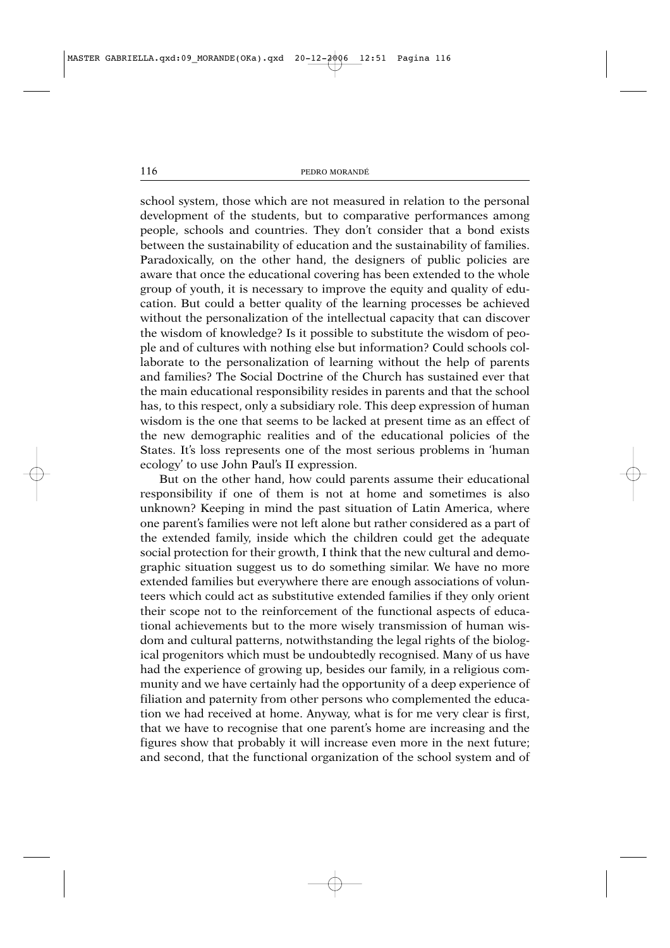school system, those which are not measured in relation to the personal development of the students, but to comparative performances among people, schools and countries. They don't consider that a bond exists between the sustainability of education and the sustainability of families. Paradoxically, on the other hand, the designers of public policies are aware that once the educational covering has been extended to the whole group of youth, it is necessary to improve the equity and quality of education. But could a better quality of the learning processes be achieved without the personalization of the intellectual capacity that can discover the wisdom of knowledge? Is it possible to substitute the wisdom of people and of cultures with nothing else but information? Could schools collaborate to the personalization of learning without the help of parents and families? The Social Doctrine of the Church has sustained ever that the main educational responsibility resides in parents and that the school has, to this respect, only a subsidiary role. This deep expression of human wisdom is the one that seems to be lacked at present time as an effect of the new demographic realities and of the educational policies of the States. It's loss represents one of the most serious problems in 'human ecology' to use John Paul's II expression.

But on the other hand, how could parents assume their educational responsibility if one of them is not at home and sometimes is also unknown? Keeping in mind the past situation of Latin America, where one parent's families were not left alone but rather considered as a part of the extended family, inside which the children could get the adequate social protection for their growth, I think that the new cultural and demographic situation suggest us to do something similar. We have no more extended families but everywhere there are enough associations of volunteers which could act as substitutive extended families if they only orient their scope not to the reinforcement of the functional aspects of educational achievements but to the more wisely transmission of human wisdom and cultural patterns, notwithstanding the legal rights of the biological progenitors which must be undoubtedly recognised. Many of us have had the experience of growing up, besides our family, in a religious community and we have certainly had the opportunity of a deep experience of filiation and paternity from other persons who complemented the education we had received at home. Anyway, what is for me very clear is first, that we have to recognise that one parent's home are increasing and the figures show that probably it will increase even more in the next future; and second, that the functional organization of the school system and of